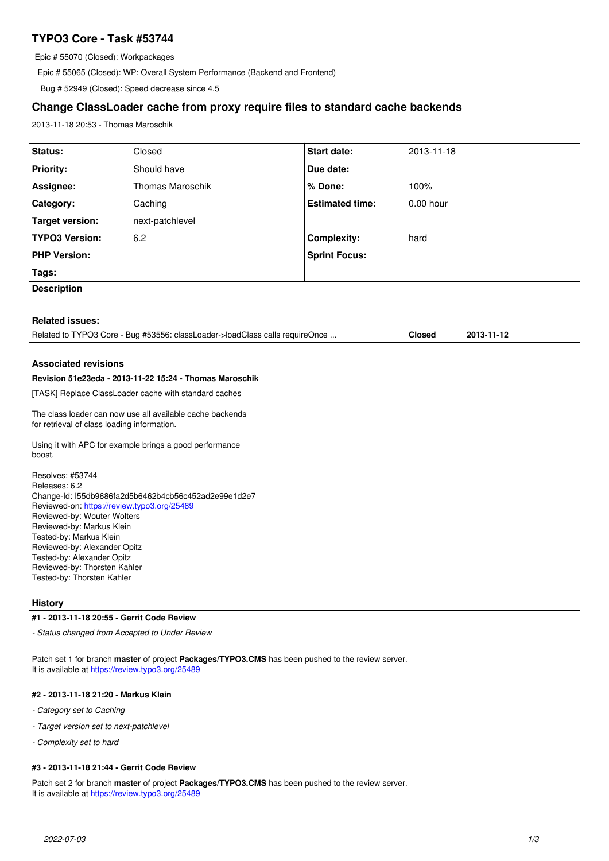# **TYPO3 Core - Task #53744**

Epic # 55070 (Closed): Workpackages

Epic # 55065 (Closed): WP: Overall System Performance (Backend and Frontend)

Bug # 52949 (Closed): Speed decrease since 4.5

## **Change ClassLoader cache from proxy require files to standard cache backends**

2013-11-18 20:53 - Thomas Maroschik

| <b>Status:</b>                                                               | Closed                  | <b>Start date:</b>     | 2013-11-18    |            |  |  |  |  |
|------------------------------------------------------------------------------|-------------------------|------------------------|---------------|------------|--|--|--|--|
| <b>Priority:</b>                                                             | Should have             | Due date:              |               |            |  |  |  |  |
| Assignee:                                                                    | <b>Thomas Maroschik</b> | % Done:                | 100%          |            |  |  |  |  |
| Category:                                                                    | Caching                 | <b>Estimated time:</b> | $0.00$ hour   |            |  |  |  |  |
| Target version:                                                              | next-patchlevel         |                        |               |            |  |  |  |  |
| TYPO3 Version:                                                               | 6.2                     | <b>Complexity:</b>     | hard          |            |  |  |  |  |
| <b>PHP Version:</b>                                                          |                         | <b>Sprint Focus:</b>   |               |            |  |  |  |  |
| Tags:                                                                        |                         |                        |               |            |  |  |  |  |
| <b>Description</b>                                                           |                         |                        |               |            |  |  |  |  |
|                                                                              |                         |                        |               |            |  |  |  |  |
| <b>Related issues:</b>                                                       |                         |                        |               |            |  |  |  |  |
| Related to TYPO3 Core - Bug #53556: classLoader->loadClass calls requireOnce |                         |                        | <b>Closed</b> | 2013-11-12 |  |  |  |  |
|                                                                              |                         |                        |               |            |  |  |  |  |

### **Associated revisions**

### **Revision 51e23eda - 2013-11-22 15:24 - Thomas Maroschik**

[TASK] Replace ClassLoader cache with standard caches

The class loader can now use all available cache backends for retrieval of class loading information.

Using it with APC for example brings a good performance boost.

Resolves: #53744 Releases: 6.2 Change-Id: I55db9686fa2d5b6462b4cb56c452ad2e99e1d2e7 Reviewed-on:<https://review.typo3.org/25489> Reviewed-by: Wouter Wolters Reviewed-by: Markus Klein Tested-by: Markus Klein Reviewed-by: Alexander Opitz Tested-by: Alexander Opitz Reviewed-by: Thorsten Kahler Tested-by: Thorsten Kahler

### **History**

#### **#1 - 2013-11-18 20:55 - Gerrit Code Review**

*- Status changed from Accepted to Under Review*

Patch set 1 for branch **master** of project **Packages/TYPO3.CMS** has been pushed to the review server. It is available at <https://review.typo3.org/25489>

### **#2 - 2013-11-18 21:20 - Markus Klein**

- *Category set to Caching*
- *Target version set to next-patchlevel*
- *Complexity set to hard*

### **#3 - 2013-11-18 21:44 - Gerrit Code Review**

Patch set 2 for branch **master** of project **Packages/TYPO3.CMS** has been pushed to the review server. It is available at <https://review.typo3.org/25489>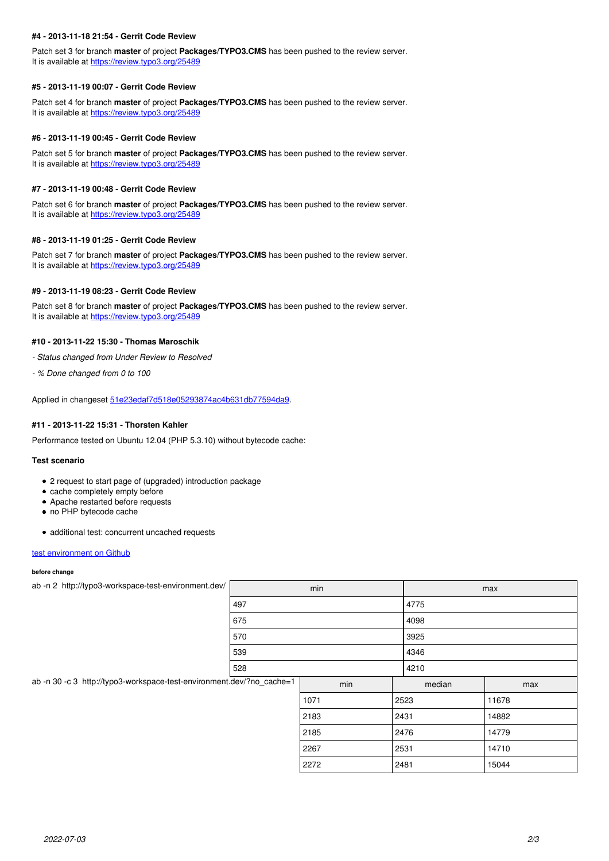### **#4 - 2013-11-18 21:54 - Gerrit Code Review**

Patch set 3 for branch **master** of project **Packages/TYPO3.CMS** has been pushed to the review server. It is available at <https://review.typo3.org/25489>

#### **#5 - 2013-11-19 00:07 - Gerrit Code Review**

Patch set 4 for branch **master** of project **Packages/TYPO3.CMS** has been pushed to the review server. It is available at <https://review.typo3.org/25489>

### **#6 - 2013-11-19 00:45 - Gerrit Code Review**

Patch set 5 for branch **master** of project **Packages/TYPO3.CMS** has been pushed to the review server. It is available at <https://review.typo3.org/25489>

#### **#7 - 2013-11-19 00:48 - Gerrit Code Review**

Patch set 6 for branch **master** of project **Packages/TYPO3.CMS** has been pushed to the review server. It is available at <https://review.typo3.org/25489>

### **#8 - 2013-11-19 01:25 - Gerrit Code Review**

Patch set 7 for branch **master** of project **Packages/TYPO3.CMS** has been pushed to the review server. It is available at <https://review.typo3.org/25489>

### **#9 - 2013-11-19 08:23 - Gerrit Code Review**

Patch set 8 for branch **master** of project **Packages/TYPO3.CMS** has been pushed to the review server. It is available at <https://review.typo3.org/25489>

### **#10 - 2013-11-22 15:30 - Thomas Maroschik**

*- Status changed from Under Review to Resolved*

*- % Done changed from 0 to 100*

Applied in changeset [51e23edaf7d518e05293874ac4b631db77594da9.](https://forge.typo3.org/projects/typo3cms-core/repository/1749/revisions/51e23edaf7d518e05293874ac4b631db77594da9)

#### **#11 - 2013-11-22 15:31 - Thorsten Kahler**

Performance tested on Ubuntu 12.04 (PHP 5.3.10) without bytecode cache:

#### **Test scenario**

- 2 request to start page of (upgraded) introduction package
- cache completely empty before
- Apache restarted before requests
- no PHP bytecode cache
- additional test: concurrent uncached requests

#### [test environment on Github](https://github.com/sascha-egerer/typo3-workspace-test)

#### **before change**

| ab -n 2 http://typo3-workspace-test-environment.dev/                  | min |      |        | max   |  |
|-----------------------------------------------------------------------|-----|------|--------|-------|--|
|                                                                       | 497 |      | 4775   |       |  |
|                                                                       | 675 |      | 4098   |       |  |
|                                                                       | 570 |      | 3925   |       |  |
|                                                                       | 539 |      | 4346   |       |  |
|                                                                       | 528 |      | 4210   |       |  |
| ab -n 30 -c 3 http://typo3-workspace-test-environment.dev/?no_cache=1 |     | min  | median | max   |  |
|                                                                       |     | 1071 | 2523   | 11678 |  |
|                                                                       |     | 2183 | 2431   | 14882 |  |
|                                                                       |     | 2185 | 2476   | 14779 |  |
|                                                                       |     | 2267 | 2531   | 14710 |  |
|                                                                       |     | 2272 | 2481   | 15044 |  |
|                                                                       |     |      |        |       |  |